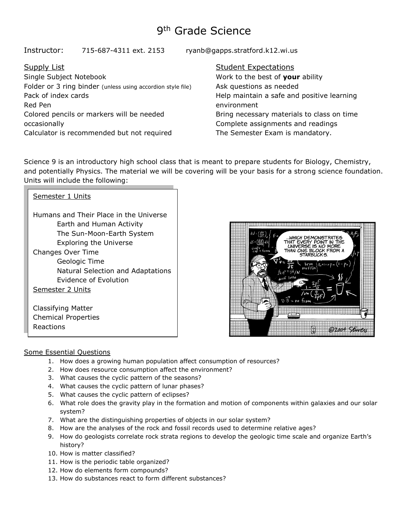# 9<sup>th</sup> Grade Science

Instructor: 715-687-4311 ext. 2153 ryanb@gapps.stratford.k12.wi.us

# Supply List

Single Subject Notebook Folder or 3 ring binder (unless using accordion style file) Pack of index cards Red Pen Colored pencils or markers will be needed occasionally Calculator is recommended but not required

## Student Expectations

Work to the best of **your** ability Ask questions as needed Help maintain a safe and positive learning environment Bring necessary materials to class on time Complete assignments and readings The Semester Exam is mandatory.

Science 9 is an introductory high school class that is meant to prepare students for Biology, Chemistry, and potentially Physics. The material we will be covering will be your basis for a strong science foundation. Units will include the following:

| Semester 1 Units                                                                                                                 |  |  |  |  |
|----------------------------------------------------------------------------------------------------------------------------------|--|--|--|--|
| Humans and Their Place in the Universe<br>Earth and Human Activity<br>The Sun-Moon-Earth System<br><b>Exploring the Universe</b> |  |  |  |  |
| Changes Over Time<br>Geologic Time<br>Natural Selection and Adaptations<br>Evidence of Evolution<br>Semester 2 Units             |  |  |  |  |
| Classifying Matter<br><b>Chemical Properties</b>                                                                                 |  |  |  |  |



# Some Essential Questions

Reactions

- 1. How does a growing human population affect consumption of resources?
- 2. How does resource consumption affect the environment?
- 2. Thow does resource consumption arrect the environment of the seasons?
- 1. What causes the cyclic pattern of the seasons.<br>4. What causes the cyclic pattern of lunar phases?
- 5. What causes the cyclic pattern of eclipses?
- 6. What role does the gravity play in the formation and motion of components within galaxies and our solar system?
	- 7. What are the distinguishing properties of objects in our solar system?
	- 8. How are the analyses of the rock and fossil records used to determine relative ages?
	- 9. How do geologists correlate rock strata regions to develop the geologic time scale and organize Earth's history?
	- 10. How is matter classified?
	- 11. How is the periodic table organized?
	- 12. How do elements form compounds?
	- 13. How do substances react to form different substances?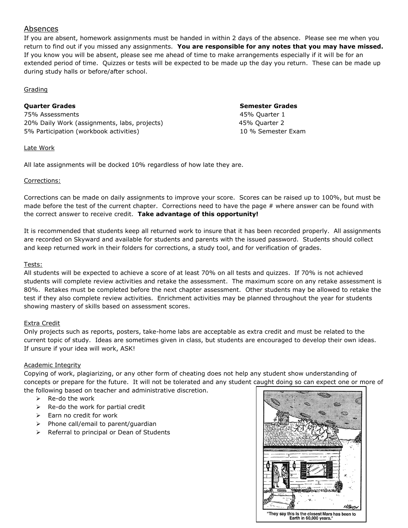# Absences

If you are absent, homework assignments must be handed in within 2 days of the absence. Please see me when you return to find out if you missed any assignments. **You are responsible for any notes that you may have missed.** If you know you will be absent, please see me ahead of time to make arrangements especially if it will be for an extended period of time. Quizzes or tests will be expected to be made up the day you return. These can be made up during study halls or before/after school.

#### Grading

#### **Quarter Grades Semester Grades**

75% Assessments 45% Quarter 1 20% Daily Work (assignments, labs, projects) 45% Quarter 2 5% Participation (workbook activities) 10 % Semester Exam

#### Late Work

All late assignments will be docked 10% regardless of how late they are.

#### Corrections:

Corrections can be made on daily assignments to improve your score. Scores can be raised up to 100%, but must be made before the test of the current chapter. Corrections need to have the page  $#$  where answer can be found with the correct answer to receive credit. **Take advantage of this opportunity!**

It is recommended that students keep all returned work to insure that it has been recorded properly. All assignments are recorded on Skyward and available for students and parents with the issued password. Students should collect and keep returned work in their folders for corrections, a study tool, and for verification of grades.

#### Tests:

All students will be expected to achieve a score of at least 70% on all tests and quizzes. If 70% is not achieved students will complete review activities and retake the assessment. The maximum score on any retake assessment is 80%. Retakes must be completed before the next chapter assessment. Other students may be allowed to retake the test if they also complete review activities. Enrichment activities may be planned throughout the year for students showing mastery of skills based on assessment scores.

#### Extra Credit

Only projects such as reports, posters, take-home labs are acceptable as extra credit and must be related to the current topic of study. Ideas are sometimes given in class, but students are encouraged to develop their own ideas. If unsure if your idea will work, ASK!

#### Academic Integrity

Copying of work, plagiarizing, or any other form of cheating does not help any student show understanding of concepts or prepare for the future. It will not be tolerated and any student caught doing so can expect one or more of the following based on teacher and administrative discretion.

- $\triangleright$  Re-do the work
- $\triangleright$  Re-do the work for partial credit
- ➢ Earn no credit for work
- ➢ Phone call/email to parent/guardian
- ➢ Referral to principal or Dean of Students